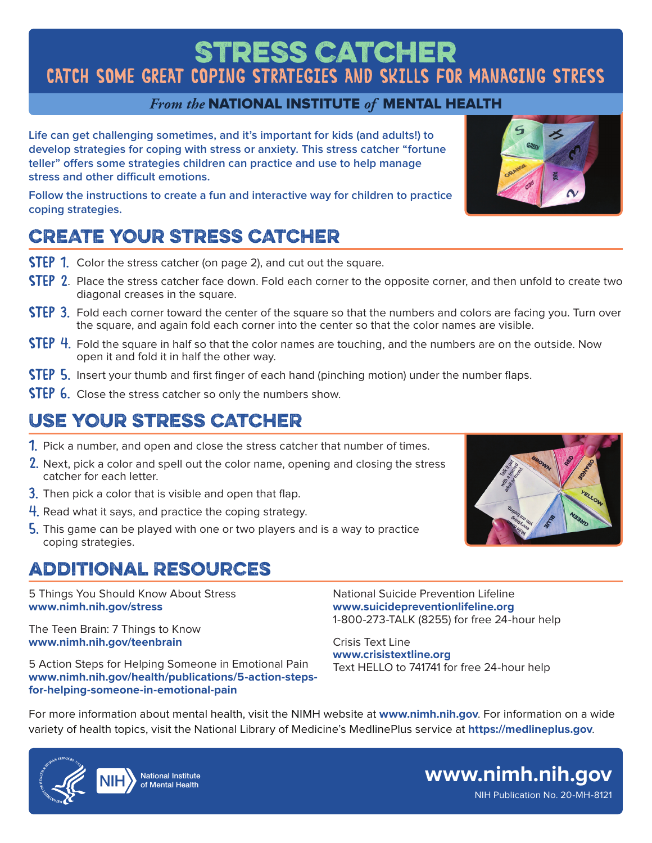# **Stress Catcher** CATCH SOME GREAT COPING STRATEGIES AND SKILLS FOR MANAGING STRESS

#### *From the* NATIONAL INSTITUTE *of* MENTAL HEALTH

**Life can get challenging sometimes, and it's important for kids (and adults!) to develop strategies for coping with stress or anxiety. This stress catcher "fortune teller" offers some strategies children can practice and use to help manage stress and other difficult emotions.**

**Follow the instructions to create a fun and interactive way for children to practice coping strategies.**

## CREATE YOUR STRESS CATCHER

- **STEP 1.** Color the stress catcher (on page 2), and cut out the square.
- STEP 2. Place the stress catcher face down. Fold each corner to the opposite corner, and then unfold to create two diagonal creases in the square.
- **STEP 3.** Fold each corner toward the center of the square so that the numbers and colors are facing you. Turn over the square, and again fold each corner into the center so that the color names are visible.
- STEP 4. Fold the square in half so that the color names are touching, and the numbers are on the outside. Now open it and fold it in half the other way.
- **STEP 5.** Insert your thumb and first finger of each hand (pinching motion) under the number flaps.
- **STEP 6.** Close the stress catcher so only the numbers show.

## USE YOUR STRESS CATCHER

- 1. Pick a number, and open and close the stress catcher that number of times.
- 2. Next, pick a color and spell out the color name, opening and closing the stress catcher for each letter.
- **3.** Then pick a color that is visible and open that flap.
- 4. Read what it says, and practice the coping strategy.
- 5. This game can be played with one or two players and is a way to practice coping strategies.

### additional Resources

5 Things You Should Know About Stress **[www.nimh.nih.gov/stress](https://www.nimh.nih.gov/stress)**

The Teen Brain: 7 Things to Know **[www.nimh.nih.gov/teenbrain](https://www.nimh.nih.gov/teenbrain)**

5 Action Steps for Helping Someone in Emotional Pain **[www.nimh.nih.gov/health/publications/5-action-steps](https://www.nimh.nih.gov/health/publications/5-action-steps-for-helping-someone-in-emotional-pain)[for-helping-someone-in-emotional-pain](https://www.nimh.nih.gov/health/publications/5-action-steps-for-helping-someone-in-emotional-pain)**

National Suicide Prevention Lifeline **[www.suicidepreventionlifeline.org](https://www.suicidepreventionlifeline.org/)** 1-800-273-TALK (8255) for free 24-hour help

Crisis Text Line **[www.crisistextline.org](https://www.crisistextline.org/)** Text HELLO to 741741 for free 24-hour help

For more information about mental health, visit the NIMH website at **[www.nimh.nih.gov](https://www.nimh.nih.gov)**. For information on a wide variety of health topics, visit the National Library of Medicine's MedlinePlus service at **<https://medlineplus.gov>**.



NIH Publication No. 20-MH-8121 **[www.nimh.nih.gov](https://www.nimh.nih.gov)**